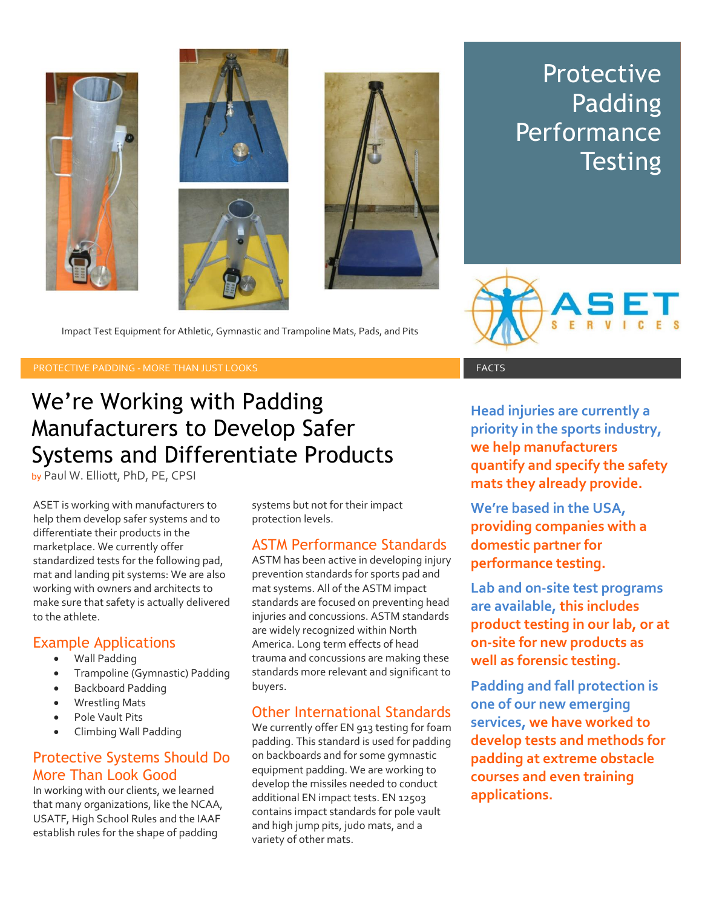

**Protective** Padding **Performance Testing** 



Impact Test Equipment for Athletic, Gymnastic and Trampoline Mats, Pads, and Pits

#### PROTECTIVE PADDING - MORE THAN JUST LOOKS FACTS FACTS FACTS

# We're Working with Padding Manufacturers to Develop Safer Systems and Differentiate Products

by Paul W. Elliott, PhD, PE, CPSI

ASET is working with manufacturers to help them develop safer systems and to differentiate their products in the marketplace. We currently offer standardized tests for the following pad, mat and landing pit systems: We are also working with owners and architects to make sure that safety is actually delivered to the athlete.

#### Example Applications

- Wall Padding
- Trampoline (Gymnastic) Padding
- Backboard Padding
- Wrestling Mats
- Pole Vault Pits
- Climbing Wall Padding

## Protective Systems Should Do More Than Look Good

In working with our clients, we learned that many organizations, like the NCAA, USATF, High School Rules and the IAAF establish rules for the shape of padding

systems but not for their impact protection levels.

## ASTM Performance Standards

ASTM has been active in developing injury prevention standards for sports pad and mat systems. All of the ASTM impact standards are focused on preventing head injuries and concussions. ASTM standards are widely recognized within North America. Long term effects of head trauma and concussions are making these standards more relevant and significant to buyers.

## Other International Standards

We currently offer EN 913 testing for foam padding. This standard is used for padding on backboards and for some gymnastic equipment padding. We are working to develop the missiles needed to conduct additional EN impact tests. EN 12503 contains impact standards for pole vault and high jump pits, judo mats, and a variety of other mats.

**Head injuries are currently a priority in the sports industry, we help manufacturers quantify and specify the safety mats they already provide.** 

**We're based in the USA, providing companies with a domestic partner for performance testing.** 

**Lab and on-site test programs are available, this includes product testing in our lab, or at on-site for new products as well as forensic testing.** 

**Padding and fall protection is one of our new emerging services, we have worked to develop tests and methods for padding at extreme obstacle courses and even training applications.**